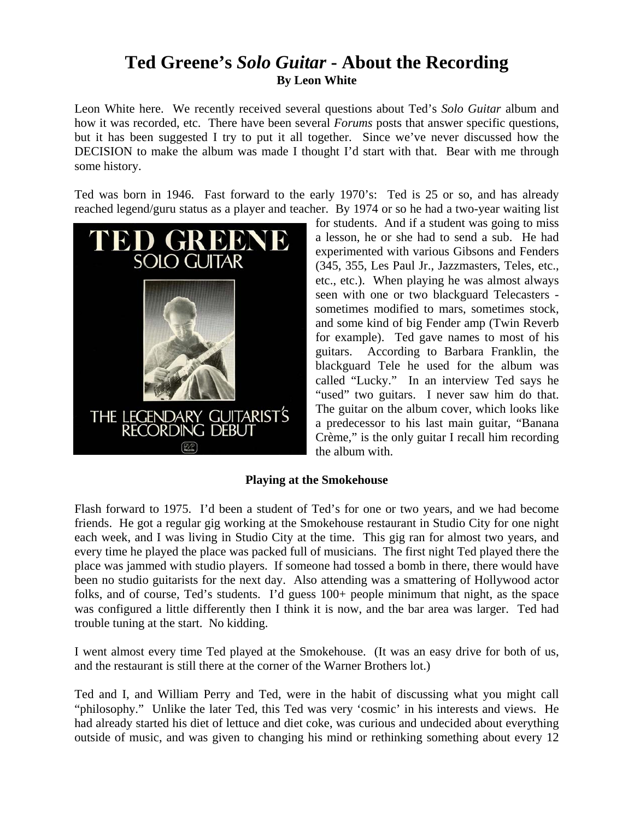# **Ted Greene's** *Solo Guitar* **- About the Recording By Leon White**

Leon White here. We recently received several questions about Ted's *Solo Guitar* album and how it was recorded, etc. There have been several *Forums* posts that answer specific questions, but it has been suggested I try to put it all together. Since we've never discussed how the DECISION to make the album was made I thought I'd start with that. Bear with me through some history.

Ted was born in 1946. Fast forward to the early 1970's: Ted is 25 or so, and has already reached legend/guru status as a player and teacher. By 1974 or so he had a two-year waiting list



for students. And if a student was going to miss a lesson, he or she had to send a sub. He had experimented with various Gibsons and Fenders (345, 355, Les Paul Jr., Jazzmasters, Teles, etc., etc., etc.). When playing he was almost always seen with one or two blackguard Telecasters sometimes modified to mars, sometimes stock, and some kind of big Fender amp (Twin Reverb for example). Ted gave names to most of his guitars. According to Barbara Franklin, the blackguard Tele he used for the album was called "Lucky." In an interview Ted says he "used" two guitars. I never saw him do that. The guitar on the album cover, which looks like a predecessor to his last main guitar, "Banana Crème," is the only guitar I recall him recording the album with.

## **Playing at the Smokehouse**

Flash forward to 1975. I'd been a student of Ted's for one or two years, and we had become friends. He got a regular gig working at the Smokehouse restaurant in Studio City for one night each week, and I was living in Studio City at the time. This gig ran for almost two years, and every time he played the place was packed full of musicians. The first night Ted played there the place was jammed with studio players. If someone had tossed a bomb in there, there would have been no studio guitarists for the next day. Also attending was a smattering of Hollywood actor folks, and of course, Ted's students. I'd guess  $100+$  people minimum that night, as the space was configured a little differently then I think it is now, and the bar area was larger. Ted had trouble tuning at the start. No kidding.

I went almost every time Ted played at the Smokehouse. (It was an easy drive for both of us, and the restaurant is still there at the corner of the Warner Brothers lot.)

Ted and I, and William Perry and Ted, were in the habit of discussing what you might call "philosophy." Unlike the later Ted, this Ted was very 'cosmic' in his interests and views. He had already started his diet of lettuce and diet coke, was curious and undecided about everything outside of music, and was given to changing his mind or rethinking something about every 12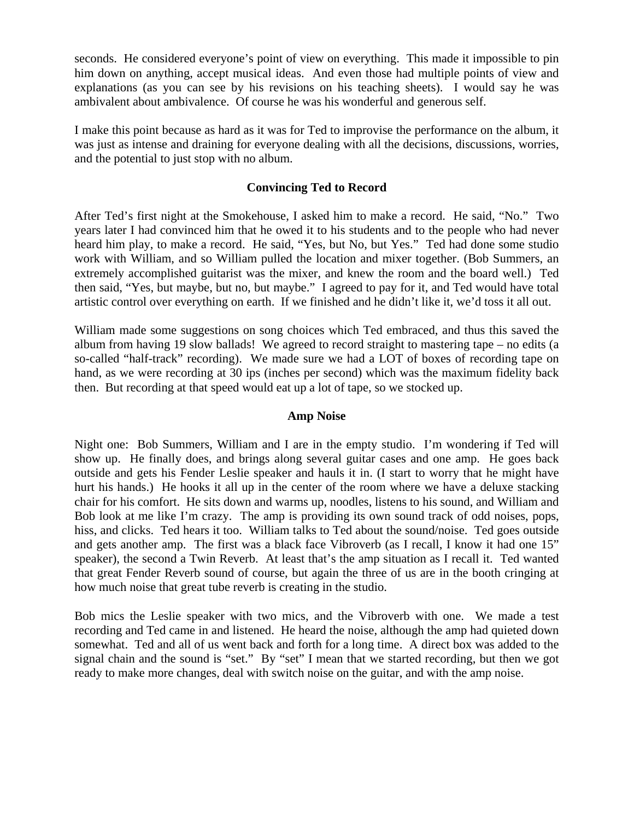seconds. He considered everyone's point of view on everything. This made it impossible to pin him down on anything, accept musical ideas. And even those had multiple points of view and explanations (as you can see by his revisions on his teaching sheets). I would say he was ambivalent about ambivalence. Of course he was his wonderful and generous self.

I make this point because as hard as it was for Ted to improvise the performance on the album, it was just as intense and draining for everyone dealing with all the decisions, discussions, worries, and the potential to just stop with no album.

#### **Convincing Ted to Record**

After Ted's first night at the Smokehouse, I asked him to make a record. He said, "No." Two years later I had convinced him that he owed it to his students and to the people who had never heard him play, to make a record. He said, "Yes, but No, but Yes." Ted had done some studio work with William, and so William pulled the location and mixer together. (Bob Summers, an extremely accomplished guitarist was the mixer, and knew the room and the board well.) Ted then said, "Yes, but maybe, but no, but maybe." I agreed to pay for it, and Ted would have total artistic control over everything on earth. If we finished and he didn't like it, we'd toss it all out.

William made some suggestions on song choices which Ted embraced, and thus this saved the album from having 19 slow ballads! We agreed to record straight to mastering tape – no edits (a so-called "half-track" recording). We made sure we had a LOT of boxes of recording tape on hand, as we were recording at 30 ips (inches per second) which was the maximum fidelity back then. But recording at that speed would eat up a lot of tape, so we stocked up.

#### **Amp Noise**

Night one: Bob Summers, William and I are in the empty studio. I'm wondering if Ted will show up. He finally does, and brings along several guitar cases and one amp. He goes back outside and gets his Fender Leslie speaker and hauls it in. (I start to worry that he might have hurt his hands.) He hooks it all up in the center of the room where we have a deluxe stacking chair for his comfort. He sits down and warms up, noodles, listens to his sound, and William and Bob look at me like I'm crazy. The amp is providing its own sound track of odd noises, pops, hiss, and clicks. Ted hears it too. William talks to Ted about the sound/noise. Ted goes outside and gets another amp. The first was a black face Vibroverb (as I recall, I know it had one 15" speaker), the second a Twin Reverb. At least that's the amp situation as I recall it. Ted wanted that great Fender Reverb sound of course, but again the three of us are in the booth cringing at how much noise that great tube reverb is creating in the studio.

Bob mics the Leslie speaker with two mics, and the Vibroverb with one. We made a test recording and Ted came in and listened. He heard the noise, although the amp had quieted down somewhat. Ted and all of us went back and forth for a long time. A direct box was added to the signal chain and the sound is "set." By "set" I mean that we started recording, but then we got ready to make more changes, deal with switch noise on the guitar, and with the amp noise.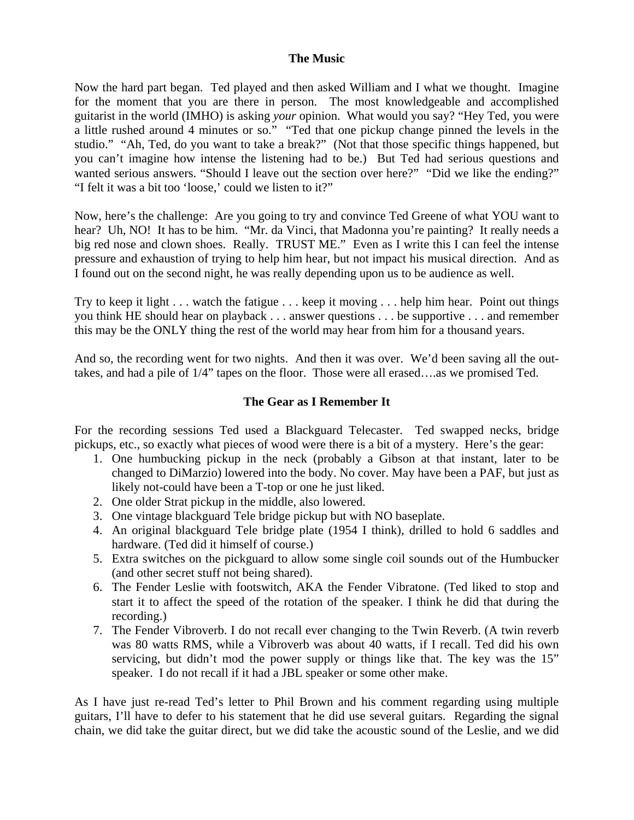#### **The Music**

Now the hard part began. Ted played and then asked William and I what we thought. Imagine for the moment that you are there in person. The most knowledgeable and accomplished guitarist in the world (IMHO) is asking *your* opinion. What would you say? "Hey Ted, you were a little rushed around 4 minutes or so." "Ted that one pickup change pinned the levels in the studio." "Ah, Ted, do you want to take a break?" (Not that those specific things happened, but you can't imagine how intense the listening had to be.) But Ted had serious questions and wanted serious answers. "Should I leave out the section over here?" "Did we like the ending?" "I felt it was a bit too 'loose,' could we listen to it?"

Now, here's the challenge: Are you going to try and convince Ted Greene of what YOU want to hear? Uh, NO! It has to be him. "Mr. da Vinci, that Madonna you're painting? It really needs a big red nose and clown shoes. Really. TRUST ME." Even as I write this I can feel the intense pressure and exhaustion of trying to help him hear, but not impact his musical direction. And as I found out on the second night, he was really depending upon us to be audience as well.

Try to keep it light . . . watch the fatigue . . . keep it moving . . . help him hear. Point out things you think HE should hear on playback . . . answer questions . . . be supportive . . . and remember this may be the ONLY thing the rest of the world may hear from him for a thousand years.

And so, the recording went for two nights. And then it was over. We'd been saving all the outtakes, and had a pile of 1/4" tapes on the floor. Those were all erased….as we promised Ted.

## **The Gear as I Remember It**

For the recording sessions Ted used a Blackguard Telecaster. Ted swapped necks, bridge pickups, etc., so exactly what pieces of wood were there is a bit of a mystery. Here's the gear:

- 1. One humbucking pickup in the neck (probably a Gibson at that instant, later to be changed to DiMarzio) lowered into the body. No cover. May have been a PAF, but just as likely not-could have been a T-top or one he just liked.
- 2. One older Strat pickup in the middle, also lowered.
- 3. One vintage blackguard Tele bridge pickup but with NO baseplate.
- 4. An original blackguard Tele bridge plate (1954 I think), drilled to hold 6 saddles and hardware. (Ted did it himself of course.)
- 5. Extra switches on the pickguard to allow some single coil sounds out of the Humbucker (and other secret stuff not being shared).
- 6. The Fender Leslie with footswitch, AKA the Fender Vibratone. (Ted liked to stop and start it to affect the speed of the rotation of the speaker. I think he did that during the recording.)
- 7. The Fender Vibroverb. I do not recall ever changing to the Twin Reverb. (A twin reverb was 80 watts RMS, while a Vibroverb was about 40 watts, if I recall. Ted did his own servicing, but didn't mod the power supply or things like that. The key was the 15" speaker. I do not recall if it had a JBL speaker or some other make.

As I have just re-read Ted's letter to Phil Brown and his comment regarding using multiple guitars, I'll have to defer to his statement that he did use several guitars. Regarding the signal chain, we did take the guitar direct, but we did take the acoustic sound of the Leslie, and we did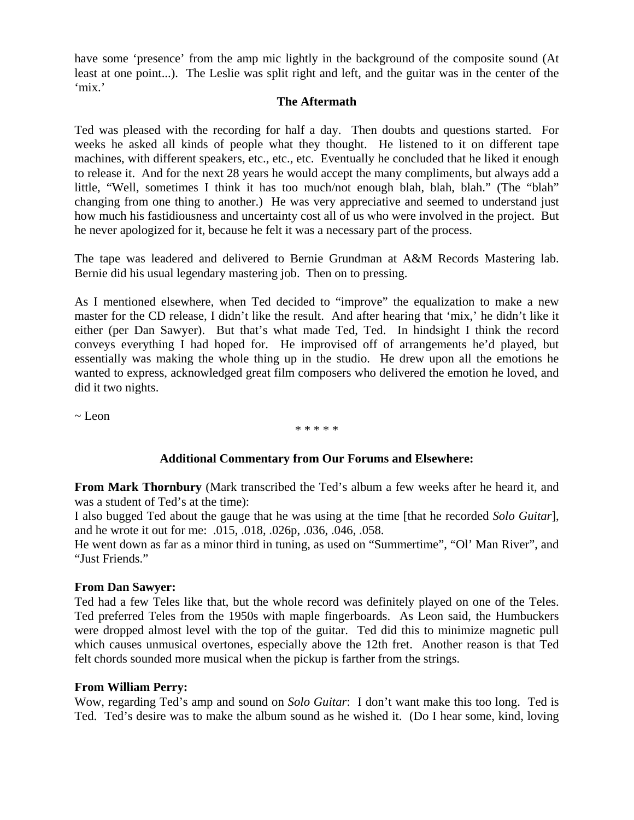have some 'presence' from the amp mic lightly in the background of the composite sound (At least at one point...). The Leslie was split right and left, and the guitar was in the center of the 'mix.'

#### **The Aftermath**

Ted was pleased with the recording for half a day. Then doubts and questions started. For weeks he asked all kinds of people what they thought. He listened to it on different tape machines, with different speakers, etc., etc., etc. Eventually he concluded that he liked it enough to release it. And for the next 28 years he would accept the many compliments, but always add a little, "Well, sometimes I think it has too much/not enough blah, blah, blah." (The "blah" changing from one thing to another.) He was very appreciative and seemed to understand just how much his fastidiousness and uncertainty cost all of us who were involved in the project. But he never apologized for it, because he felt it was a necessary part of the process.

The tape was leadered and delivered to Bernie Grundman at A&M Records Mastering lab. Bernie did his usual legendary mastering job. Then on to pressing.

As I mentioned elsewhere, when Ted decided to "improve" the equalization to make a new master for the CD release, I didn't like the result. And after hearing that 'mix,' he didn't like it either (per Dan Sawyer). But that's what made Ted, Ted. In hindsight I think the record conveys everything I had hoped for. He improvised off of arrangements he'd played, but essentially was making the whole thing up in the studio. He drew upon all the emotions he wanted to express, acknowledged great film composers who delivered the emotion he loved, and did it two nights.

~ Leon

\* \* \* \* \*

#### **Additional Commentary from Our Forums and Elsewhere:**

**From Mark Thornbury** (Mark transcribed the Ted's album a few weeks after he heard it, and was a student of Ted's at the time):

I also bugged Ted about the gauge that he was using at the time [that he recorded *Solo Guitar*], and he wrote it out for me: .015, .018, .026p, .036, .046, .058.

He went down as far as a minor third in tuning, as used on "Summertime", "Ol' Man River", and "Just Friends."

#### **From Dan Sawyer:**

Ted had a few Teles like that, but the whole record was definitely played on one of the Teles. Ted preferred Teles from the 1950s with maple fingerboards. As Leon said, the Humbuckers were dropped almost level with the top of the guitar. Ted did this to minimize magnetic pull which causes unmusical overtones, especially above the 12th fret. Another reason is that Ted felt chords sounded more musical when the pickup is farther from the strings.

#### **From William Perry:**

Wow, regarding Ted's amp and sound on *Solo Guitar*: I don't want make this too long. Ted is Ted. Ted's desire was to make the album sound as he wished it. (Do I hear some, kind, loving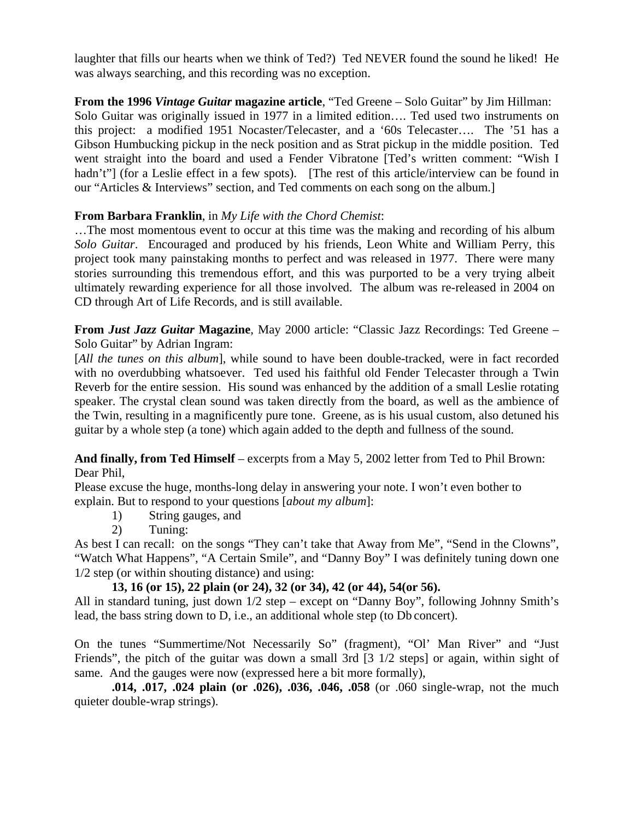laughter that fills our hearts when we think of Ted?) Ted NEVER found the sound he liked! He was always searching, and this recording was no exception.

**From the 1996** *Vintage Guitar* **magazine article**, "Ted Greene – Solo Guitar" by Jim Hillman: Solo Guitar was originally issued in 1977 in a limited edition…. Ted used two instruments on this project: a modified 1951 Nocaster/Telecaster, and a '60s Telecaster…. The '51 has a Gibson Humbucking pickup in the neck position and as Strat pickup in the middle position. Ted went straight into the board and used a Fender Vibratone [Ted's written comment: "Wish I hadn't"] (for a Leslie effect in a few spots). [The rest of this article/interview can be found in our "Articles & Interviews" section, and Ted comments on each song on the album.]

## **From Barbara Franklin**, in *My Life with the Chord Chemist*:

…The most momentous event to occur at this time was the making and recording of his album *Solo Guitar*. Encouraged and produced by his friends, Leon White and William Perry, this project took many painstaking months to perfect and was released in 1977. There were many stories surrounding this tremendous effort, and this was purported to be a very trying albeit ultimately rewarding experience for all those involved. The album was re-released in 2004 on CD through Art of Life Records, and is still available.

**From** *Just Jazz Guitar* **Magazine**, May 2000 article: "Classic Jazz Recordings: Ted Greene – Solo Guitar" by Adrian Ingram:

[All the tunes on this album], while sound to have been double-tracked, were in fact recorded with no overdubbing whatsoever. Ted used his faithful old Fender Telecaster through a Twin Reverb for the entire session. His sound was enhanced by the addition of a small Leslie rotating speaker. The crystal clean sound was taken directly from the board, as well as the ambience of the Twin, resulting in a magnificently pure tone. Greene, as is his usual custom, also detuned his guitar by a whole step (a tone) which again added to the depth and fullness of the sound.

## **And finally, from Ted Himself** – excerpts from a May 5, 2002 letter from Ted to Phil Brown: Dear Phil,

Please excuse the huge, months-long delay in answering your note. I won't even bother to explain. But to respond to your questions [*about my album*]:

- 1) String gauges, and
- 2) Tuning:

As best I can recall: on the songs "They can't take that Away from Me", "Send in the Clowns", "Watch What Happens", "A Certain Smile", and "Danny Boy" I was definitely tuning down one 1/2 step (or within shouting distance) and using:

## **13, 16 (or 15), 22 plain (or 24), 32 (or 34), 42 (or 44), 54(or 56).**

All in standard tuning, just down 1/2 step – except on "Danny Boy", following Johnny Smith's lead, the bass string down to D, i.e., an additional whole step (to Db concert).

On the tunes "Summertime/Not Necessarily So" (fragment), "Ol' Man River" and "Just Friends", the pitch of the guitar was down a small 3rd [3 1/2 steps] or again, within sight of same. And the gauges were now (expressed here a bit more formally),

**.014, .017, .024 plain (or .026), .036, .046, .058** (or .060 single-wrap, not the much quieter double-wrap strings).